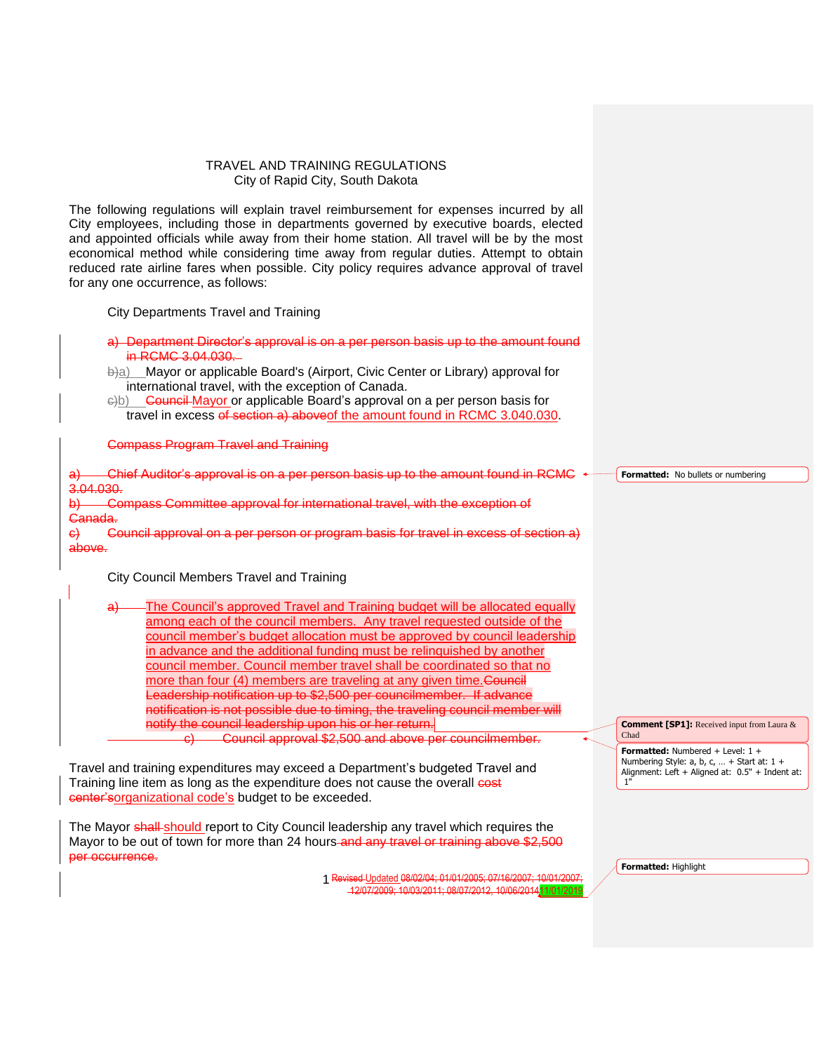## TRAVEL AND TRAINING REGULATIONS City of Rapid City, South Dakota

The following regulations will explain travel reimbursement for expenses incurred by all City employees, including those in departments governed by executive boards, elected and appointed officials while away from their home station. All travel will be by the most economical method while considering time away from regular duties. Attempt to obtain reduced rate airline fares when possible. City policy requires advance approval of travel for any one occurrence, as follows:

City Departments Travel and Training

- a) Department Director's approval is on a per person basis up to the amount found in RCMC 3.04.030.
- b)a) Mayor or applicable Board's (Airport, Civic Center or Library) approval for international travel, with the exception of Canada.
- e)b) Council Mayor or applicable Board's approval on a per person basis for travel in excess of section a) above of the amount found in RCMC 3.040.030.

Compass Program Travel and Training

a) Chief Auditor's approval is on a per person basis up to the amount found in RCMC  $\rightarrow$ 3.04.030. b) Compass Committee approval for international travel, with the exception of Canada.

c) Council approval on a per person or program basis for travel in excess of section a) above.

City Council Members Travel and Training

The Council's approved Travel and Training budget will be allocated equally among each of the council members. Any travel requested outside of the council member's budget allocation must be approved by council leadership in advance and the additional funding must be relinquished by another council member. Council member travel shall be coordinated so that no more than four (4) members are traveling at any given time. Council Leadership notification up to \$2,500 per councilmember. If advance notification is not possible due to timing, the traveling council member will notify the council leadership upon his or her return. c) Council approval \$2,500 and above per councilmember.

Travel and training expenditures may exceed a Department's budgeted Travel and Training line item as long as the expenditure does not cause the overall cost center'sorganizational code's budget to be exceeded.

The Mayor shall-should report to City Council leadership any travel which requires the Mayor to be out of town for more than 24 hours and any travel or training above \$2,500 per occurrence.

> Revised Updated 08/02/04; 01/01/2005; 07/16/2007; 10/01/2007; 1 12/07/2009; 10/03/2011; 08/07/2012, 10/06/201411/01/2019

**Formatted:** No bullets or numbering

**Comment [SP1]:** Received input from Laura & Chad

**Formatted:** Numbered + Level: 1 + Numbering Style: a, b, c, … + Start at: 1 + Alignment: Left + Aligned at: 0.5" + Indent at: 1"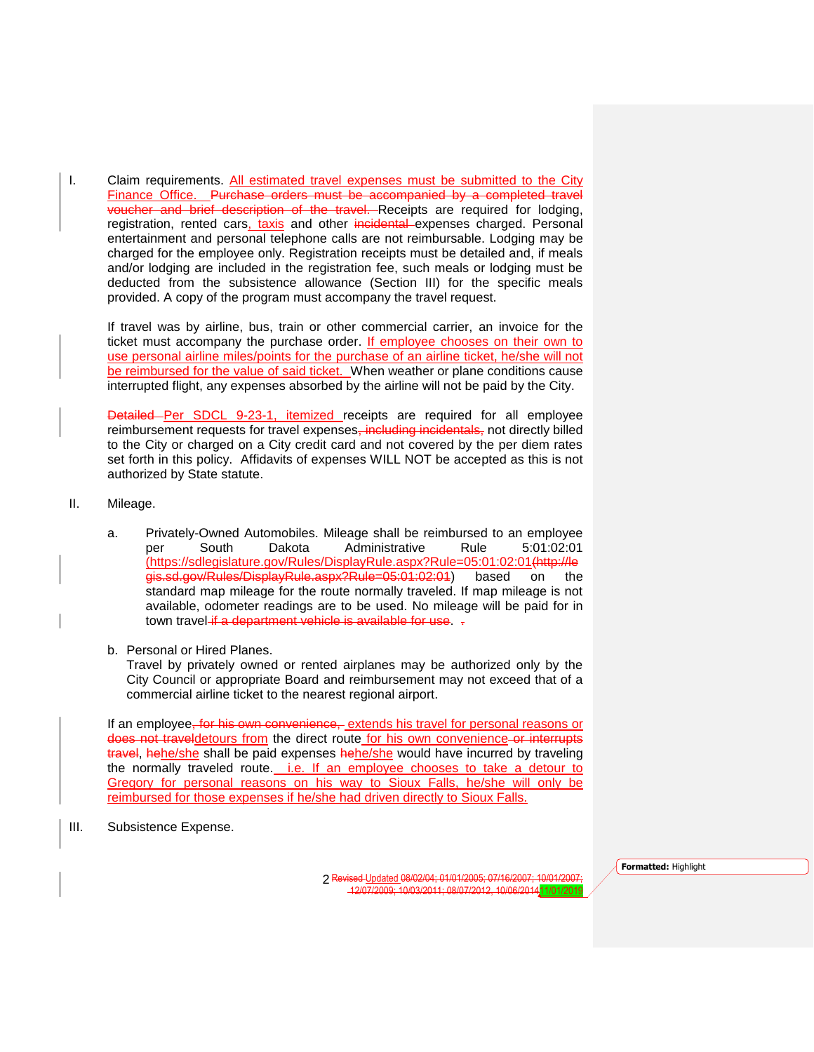I. Claim requirements. All estimated travel expenses must be submitted to the City Finance Office. Purchase orders must be accompanied by a completed travel voucher and brief description of the travel. Receipts are required for lodging, registration, rented cars, taxis and other incidental expenses charged. Personal entertainment and personal telephone calls are not reimbursable. Lodging may be charged for the employee only. Registration receipts must be detailed and, if meals and/or lodging are included in the registration fee, such meals or lodging must be deducted from the subsistence allowance (Section III) for the specific meals provided. A copy of the program must accompany the travel request.

If travel was by airline, bus, train or other commercial carrier, an invoice for the ticket must accompany the purchase order. If employee chooses on their own to use personal airline miles/points for the purchase of an airline ticket, he/she will not be reimbursed for the value of said ticket. When weather or plane conditions cause interrupted flight, any expenses absorbed by the airline will not be paid by the City.

Detailed Per SDCL 9-23-1, itemized receipts are required for all employee reimbursement requests for travel expenses, including incidentals, not directly billed to the City or charged on a City credit card and not covered by the per diem rates set forth in this policy. Affidavits of expenses WILL NOT be accepted as this is not authorized by State statute.

- II. Mileage.
	- a. Privately-Owned Automobiles. Mileage shall be reimbursed to an employee per South Dakota Administrative Rule 5:01:02:01 (https://sdlegislature.gov/Rules/DisplayRule.aspx?Rule=05:01:02:01(http://le gis.sd.gov/Rules/DisplayRule.aspx?Rule=05:01:02:01) based on the standard map mileage for the route normally traveled. If map mileage is not available, odometer readings are to be used. No mileage will be paid for in town travel if a department vehicle is available for use. .
	- b. Personal or Hired Planes.

Travel by privately owned or rented airplanes may be authorized only by the City Council or appropriate Board and reimbursement may not exceed that of a commercial airline ticket to the nearest regional airport.

If an employee, for his own convenience, extends his travel for personal reasons or does not traveldetours from the direct route for his own convenience or interrupts travel, hehe/she shall be paid expenses hehe/she would have incurred by traveling the normally traveled route. i.e. If an employee chooses to take a detour to Gregory for personal reasons on his way to Sioux Falls, he/she will only be reimbursed for those expenses if he/she had driven directly to Sioux Falls.

III. Subsistence Expense.

Revised Updated 08/02/04; 01/01/2005; 07/16/2007; 10/01/2007; 2 12/07/2009; 10/03/2011; 08/07/2012, 10/06/201411/01/2019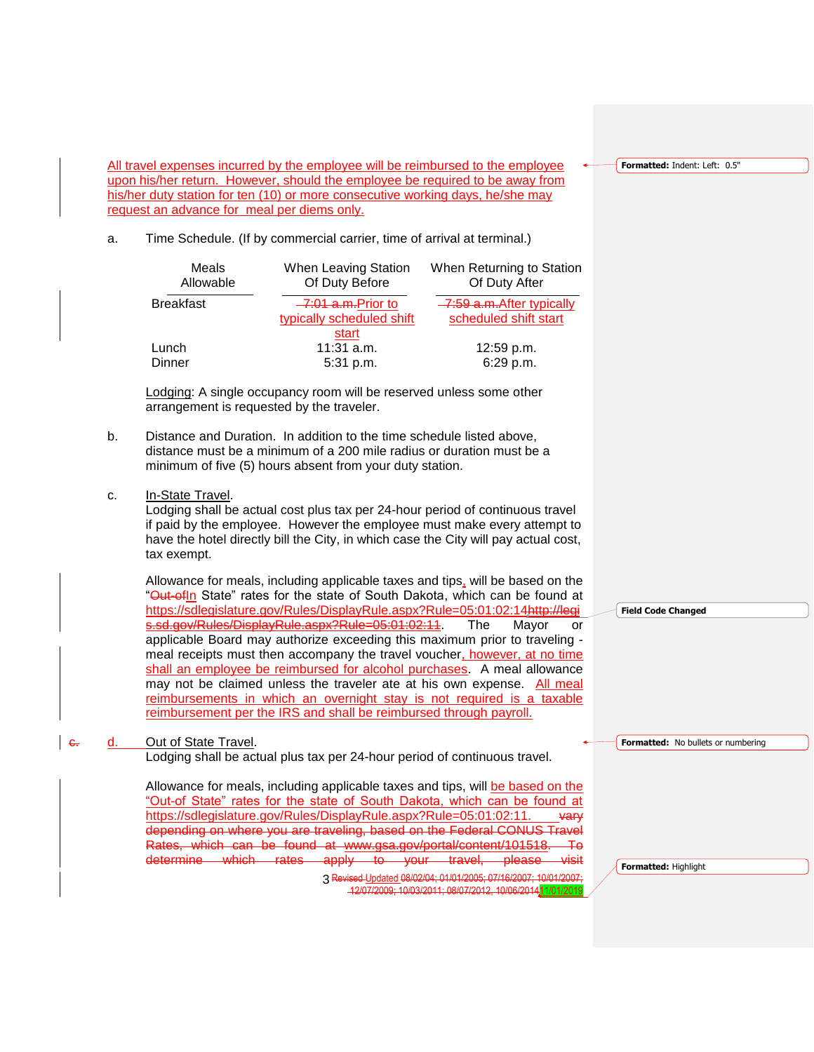**Formatted:** Indent: Left: 0.5"

All travel expenses incurred by the employee will be reimbursed to the employee upon his/her return. However, should the employee be required to be away from his/her duty station for ten (10) or more consecutive working days, he/she may request an advance for meal per diems only.

## a. Time Schedule. (If by commercial carrier, time of arrival at terminal.)

| When Leaving Station<br>Of Duty Before           | When Returning to Station<br>Of Duty After          |
|--------------------------------------------------|-----------------------------------------------------|
| -7:01 a.m. Prior to<br>typically scheduled shift | -7:59 a.m. After typically<br>scheduled shift start |
| start                                            |                                                     |
|                                                  | 12:59 p.m.                                          |
| $5:31$ p.m.                                      | 6:29 p.m.                                           |
|                                                  | $11:31$ a.m.                                        |

Lodging: A single occupancy room will be reserved unless some other arrangement is requested by the traveler.

- b. Distance and Duration. In addition to the time schedule listed above, distance must be a minimum of a 200 mile radius or duration must be a minimum of five (5) hours absent from your duty station.
- c. In-State Travel.

Lodging shall be actual cost plus tax per 24-hour period of continuous travel if paid by the employee. However the employee must make every attempt to have the hotel directly bill the City, in which case the City will pay actual cost, tax exempt.

Allowance for meals, including applicable taxes and tips, will be based on the "Out-ofin State" rates for the state of South Dakota, which can be found at https://sdlegislature.gov/Rules/DisplayRule.aspx?Rule=05:01:02:14http://legis.sd.gov/Rules/DisplayRule.aspx?Rule=05:01:02:11. The Mayor or applicable Board may authorize exceeding this maximum prior to traveling meal receipts must then accompany the travel voucher, however, at no time shall an employee be reimbursed for alcohol purchases. A meal allowance may not be claimed unless the traveler ate at his own expense. All meal reimbursements in which an overnight stay is not required is a taxable reimbursement per the IRS and shall be reimbursed through payroll.

e. d. Out of State Travel.

Lodging shall be actual plus tax per 24-hour period of continuous travel.

3 Revised Updated 08/02/04; 01/01/2005; 07/16/2007; 10/01/2007; Allowance for meals, including applicable taxes and tips, will be based on the "Out-of State" rates for the state of South Dakota, which can be found at https://sdlegislature.gov/Rules/DisplayRule.aspx?Rule=05:01:02:11. vary depending on where you are traveling, based on the Federal CONUS Travel Rates, which can be found at www.gsa.gov/portal/content/101518. determine which rates apply to your travel, please

12/07/2009; 10/03/2011; 08/07/2012, 10/06/201411/01/2019

**Field Code Changed**

**Formatted:** No bullets or numbering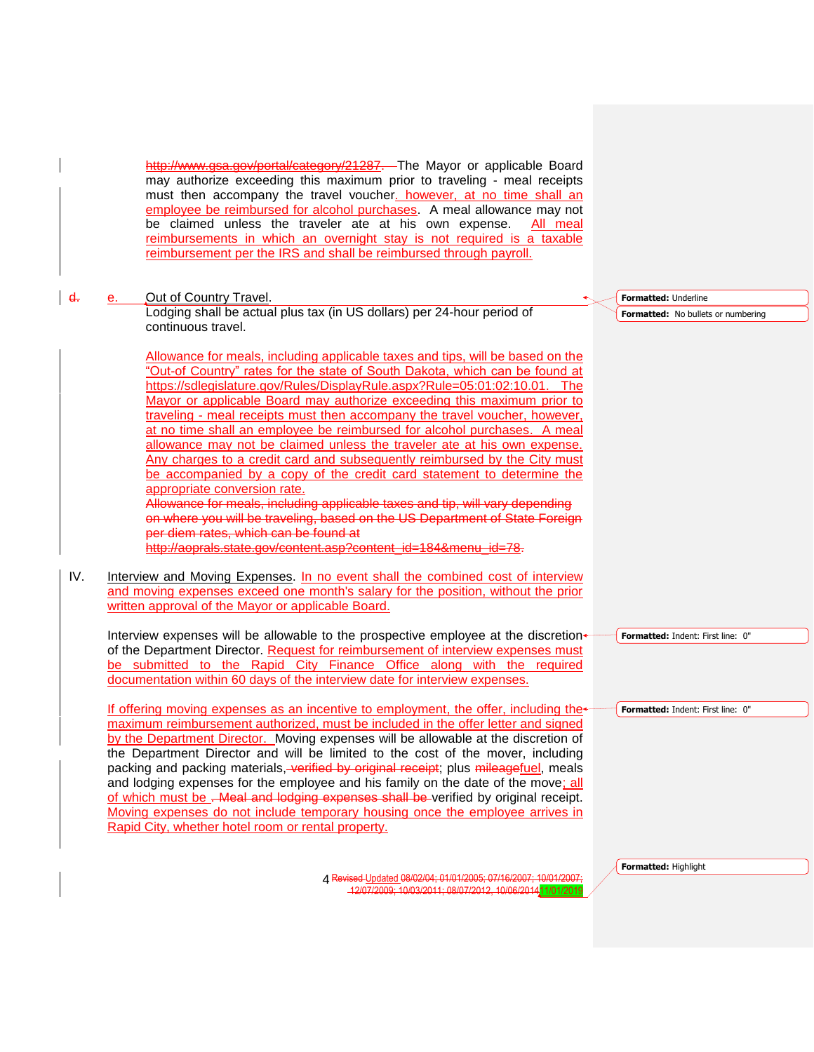http://www.gsa.gov/portal/category/21287. The Mayor or applicable Board may authorize exceeding this maximum prior to traveling - meal receipts must then accompany the travel voucher. however, at no time shall an employee be reimbursed for alcohol purchases. A meal allowance may not be claimed unless the traveler ate at his own expense. All meal reimbursements in which an overnight stay is not required is a taxable reimbursement per the IRS and shall be reimbursed through payroll.

## d. e. Out of Country Travel.

Lodging shall be actual plus tax (in US dollars) per 24-hour period of continuous travel.

Allowance for meals, including applicable taxes and tips, will be based on the "Out-of Country" rates for the state of South Dakota, which can be found at https://sdlegislature.gov/Rules/DisplayRule.aspx?Rule=05:01:02:10.01. The Mayor or applicable Board may authorize exceeding this maximum prior to traveling - meal receipts must then accompany the travel voucher, however, at no time shall an employee be reimbursed for alcohol purchases. A meal allowance may not be claimed unless the traveler ate at his own expense. Any charges to a credit card and subsequently reimbursed by the City must be accompanied by a copy of the credit card statement to determine the appropriate conversion rate.

Allowance for meals, including applicable taxes and tip, will vary depending on where you will be traveling, based on the US Department of State Foreign per diem rates, which can be found at

.<br>http://aoprals.state.gov/content.asp?content\_id=184&menu\_id=78.

IV. Interview and Moving Expenses. In no event shall the combined cost of interview and moving expenses exceed one month's salary for the position, without the prior written approval of the Mayor or applicable Board.

Interview expenses will be allowable to the prospective employee at the discretionof the Department Director. Request for reimbursement of interview expenses must be submitted to the Rapid City Finance Office along with the required documentation within 60 days of the interview date for interview expenses.

If offering moving expenses as an incentive to employment, the offer, including the maximum reimbursement authorized, must be included in the offer letter and signed by the Department Director. Moving expenses will be allowable at the discretion of the Department Director and will be limited to the cost of the mover, including packing and packing materials, verified by original receipt; plus mileagefuel, meals and lodging expenses for the employee and his family on the date of the move; all of which must be . Meal and lodging expenses shall be verified by original receipt. Moving expenses do not include temporary housing once the employee arrives in Rapid City, whether hotel room or rental property.

> Revised Updated 08/02/04; 01/01/2005; 07/16/2007; 10/01/2007; 4 12/07/2009; 10/03/2011; 08/07/2012, 10/06/201411/01/2019

**Formatted:** Underline

**Formatted:** No bullets or numbering

**Formatted:** Highlight

**Formatted:** Indent: First line: 0"

**Formatted:** Indent: First line: 0"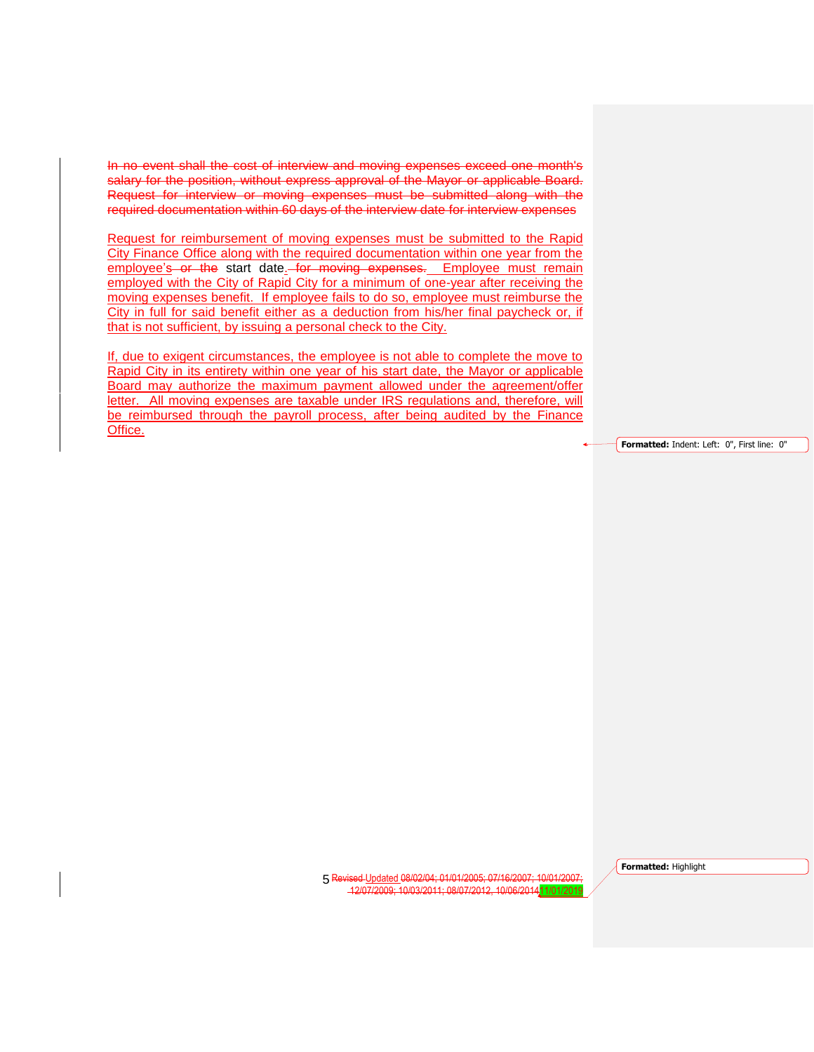In no event shall the cost of interview and moving expenses exceed one month's salary for the position, without express approval of the Mayor or applicable Board. Request for interview or moving expenses must be submitted along with the required documentation within 60 days of the interview date for interview expenses

Request for reimbursement of moving expenses must be submitted to the Rapid City Finance Office along with the required documentation within one year from the employee's or the start date. for moving expenses. Employee must remain employed with the City of Rapid City for a minimum of one-year after receiving the moving expenses benefit. If employee fails to do so, employee must reimburse the City in full for said benefit either as a deduction from his/her final paycheck or, if that is not sufficient, by issuing a personal check to the City.

If, due to exigent circumstances, the employee is not able to complete the move to Rapid City in its entirety within one year of his start date, the Mayor or applicable Board may authorize the maximum payment allowed under the agreement/offer letter. All moving expenses are taxable under IRS regulations and, therefore, will be reimbursed through the payroll process, after being audited by the Finance Office.

**Formatted:** Indent: Left: 0", First line: 0"

Revised Updated 08/02/04; 01/01/2005; 07/16/2007; 10/01/2007; 5 12/07/2009; 10/03/2011; 08/07/2012, 10/06/201411/01/2019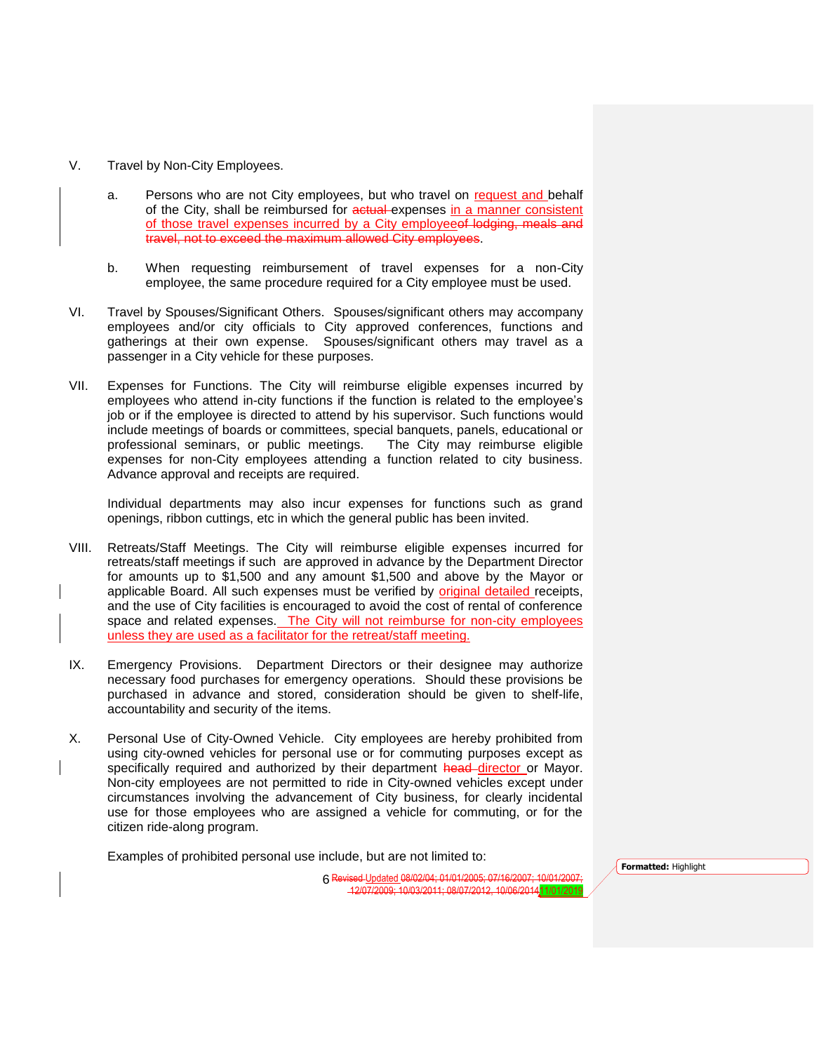- V. Travel by Non-City Employees.
	- a. Persons who are not City employees, but who travel on request and behalf of the City, shall be reimbursed for actual expenses in a manner consistent of those travel expenses incurred by a City employeeof lodging, meals and travel, not to exceed the maximum allowed City employees.
	- b. When requesting reimbursement of travel expenses for a non-City employee, the same procedure required for a City employee must be used.
- VI. Travel by Spouses/Significant Others. Spouses/significant others may accompany employees and/or city officials to City approved conferences, functions and gatherings at their own expense. Spouses/significant others may travel as a passenger in a City vehicle for these purposes.
- VII. Expenses for Functions. The City will reimburse eligible expenses incurred by employees who attend in-city functions if the function is related to the employee's job or if the employee is directed to attend by his supervisor. Such functions would include meetings of boards or committees, special banquets, panels, educational or professional seminars, or public meetings. The City may reimburse eligible expenses for non-City employees attending a function related to city business. Advance approval and receipts are required.

Individual departments may also incur expenses for functions such as grand openings, ribbon cuttings, etc in which the general public has been invited.

- VIII. Retreats/Staff Meetings. The City will reimburse eligible expenses incurred for retreats/staff meetings if such are approved in advance by the Department Director for amounts up to \$1,500 and any amount \$1,500 and above by the Mayor or applicable Board. All such expenses must be verified by original detailed receipts, and the use of City facilities is encouraged to avoid the cost of rental of conference space and related expenses. The City will not reimburse for non-city employees unless they are used as a facilitator for the retreat/staff meeting.
- IX. Emergency Provisions. Department Directors or their designee may authorize necessary food purchases for emergency operations. Should these provisions be purchased in advance and stored, consideration should be given to shelf-life, accountability and security of the items.
- X. Personal Use of City-Owned Vehicle. City employees are hereby prohibited from using city-owned vehicles for personal use or for commuting purposes except as specifically required and authorized by their department head director or Mayor. Non-city employees are not permitted to ride in City-owned vehicles except under circumstances involving the advancement of City business, for clearly incidental use for those employees who are assigned a vehicle for commuting, or for the citizen ride-along program.

Examples of prohibited personal use include, but are not limited to:

Revised Updated 08/02/04; 01/01/2005; 07/16/2007; 10/01/2007; 6 12/07/2009; 10/03/2011; 08/07/2012, 10/06/201411/01/2019